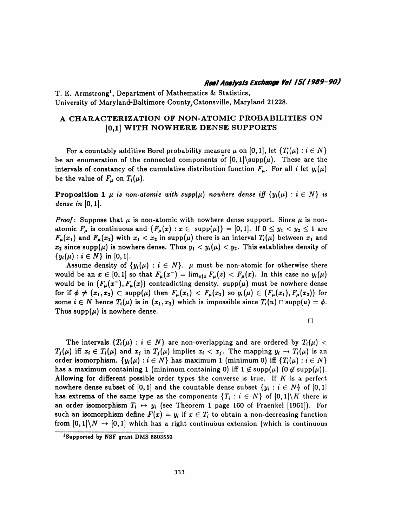## Real Analysis Exchange Vol 15(1969-90)

 T. E. Armstrong1, Department of Mathematics & Statistics, University of Maryland-Baltimore County, Catonsville, Maryland 21228.

## A CHARACTERIZATION OF NON-ATOMIC PROBABILITIES ON [0,1] WITH NOWHERE DENSE SUPPORTS

For a countably additive Borel probability measure  $\mu$  on [0, 1], let  ${T_i(\mu) : i \in N}$ be an enumeration of the connected components of  $[0, 1]$ \supp $(\mu)$ . These are the intervals of constancy of the cumulative distribution function  $F_\mu$ . For all i let  $y_i(\mu)$ be the value of  $F_{\mu}$  on  $T_i(\mu)$ .

**Proposition 1**  $\mu$  is non-atomic with supp( $\mu$ ) nowhere dense iff  $\{y_i(\mu): i \in N\}$  is dense in  $[0, 1]$ .

*Proof*: Suppose that  $\mu$  is non-atomic with nowhere dense support. Since  $\mu$  is nonatomic  $F_{\mu}$  is continuous and  $\{F_{\mu}(x) : x \in \text{supp}(\mu)\} = [0,1]$ . If  $0 \le y_1 < y_2 \le 1$  are  $F_\mu(x_1)$  and  $F_\mu(x_2)$  with  $x_1 < x_2$  in supp( $\mu$ ) there is an interval  $T_i(\mu)$  between  $x_1$  and  $x_2$  since supp( $\mu$ ) is nowhere dense. Thus  $y_1 < y_i(\mu) < y_2$ . This establishes density of  $\{y_i(\mu): i \in N\}$  in [0, 1].

Assume density of  $\{y_i(\mu) : i \in N\}$ .  $\mu$  must be non-atomic for otherwise there would be an  $x \in [0,1]$  so that  $F_\mu(x^-) = \lim_{z \uparrow x} F_\mu(z) < F_\mu(x)$ . In this case no  $y_i(\mu)$ would be in  $(F_{\mu}(x^{-}), F_{\mu}(x))$  contradicting density. supp( $\mu$ ) must be nowhere dense for if  $\phi \neq (x_1,x_2) \subset \text{supp}(\mu)$  then  $F_\mu(x_1) < F_\mu(x_2)$  so  $y_i(\mu) \in (F_\mu(x_1),F_\mu(x_2))$  for some  $i \in N$  hence  $T_i(\mu)$  is in  $(x_1, x_2)$  which is impossible since  $T_i(u) \cap \text{supp}(u) = \phi$ . Thus supp $(\mu)$  is nowhere dense.

□

The intervals  $\{T_i(\mu): i \in N\}$  are non-overlapping and are ordered by  $T_i(\mu)$  <  $T_j(\mu)$  iff  $x_i \in T_i(\mu)$  and  $x_j$  in  $T_j(\mu)$  implies  $x_i \langle x_j \rangle$ . The mapping  $y_i \to T_i(\mu)$  is an order isomorphism.  $\{y_i(\mu) : i \in N\}$  has maximum 1 (minimum 0) iff  $\{T_i(\mu) : i \in N\}$ has a maximum containing 1 (minimum containing 0) iff  $1 \notin \text{supp}(\mu)$  (0  $\notin \text{supp}(\mu)$ ). Allowing for different possible order types the converse is true. If  $K$  is a perfect nowhere dense subset of [0, 1] and the countable dense subset  $\{y_i : i \in N\}$  of [0, 1] has extrema of the same type as the components  $\{T_i : i \in N\}$  of  $[0,1] \backslash K$  there is an order isomorphism  $T_i \leftrightarrow y_i$  (see Theorem 1 page 160 of Fraenkel [1961]). For such an isomorphism define  $F(x) = y_i$  if  $x \in T_i$  to obtain a non-decreasing function from  $[0,1] \setminus N \to [0,1]$  which has a right continuous extension (which is continuous

 <sup>&#</sup>x27;Supported by NSF grant DMS 8803556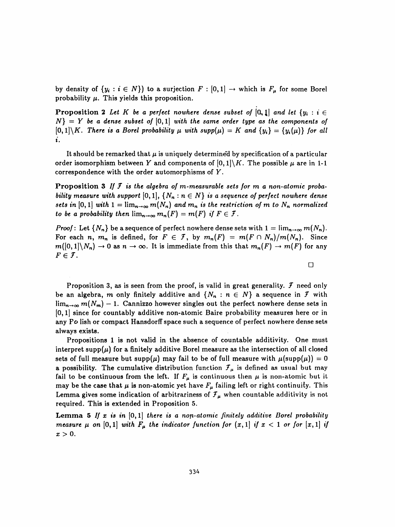by density of  $\{y_i : i \in N\}$  to a surjection  $F : [0,1] \to$  which is  $F_\mu$  for some Borel probability  $\mu$ . This yields this proposition.

**Proposition 2** Let K be a perfect nowhere dense subset of  $[0, 1]$  and let  $\{y_i : i \in$  $N$ } = Y be a dense subset of [0,1] with the same order type as the components of  $[0,1]\backslash K$ . There is a Borel probability  $\mu$  with supp $(\mu) = K$  and  $\{y_i\} = \{y_i(\mu)\}\$  for all t'.

It should be remarked that  $\mu$  is uniquely determined by specification of a particular order isomorphism between Y and components of  $[0,1]\setminus K$ . The possible  $\mu$  are in 1-1 correspondence with the order automorphisms of  $Y$ .

**Proposition 3** If  $\mathcal{F}$  is the algebra of m-measurable sets for m a non-atomic probability measure with support  $[0,1]$ ,  $\{N_n : n \in N\}$  is a sequence of perfect nowhere dense sets in [0, 1] with  $1 = \lim_{n \to \infty} m(N_n)$  and  $m_n$  is the restriction of m to  $N_n$  normalized to be a probability then  $\lim_{n\to\infty} m_n(F) = m(F)$  if  $F \in \mathcal{F}$ .

*Proof*: Let  $\{N_n\}$  be a sequence of perfect nowhere dense sets with  $1 = \lim_{n \to \infty} m(N_n)$ . For each n,  $m_n$  is defined, for  $F \in \mathcal{F}$ , by  $m_n(F) = m(F \cap N_n)/m(N_n)$ . Since  $m([0,1]\setminus N_n) \to 0$  as  $n \to \infty$ . It is immediate from this that  $m_n(F) \to m(F)$  for any  $F\in\mathcal{F}.$ 

□

Proposition 3, as is seen from the proof, is valid in great generality.  $\mathcal F$  need only be an algebra, m only finitely additive and  $\{N_n : n \in N\}$  a sequence in  $\mathcal F$  with  $\lim_{n\to\infty} m(N_m) - 1$ . Cannizzo however singles out the perfect nowhere dense sets in [0, l] since for countably additive non-atomic Baire probability measures here or in any Fo lish or compact Hansdorff space such a sequence of perfect nowhere dense sets always exists.

 Propositions 1 is not valid in the absence of countable additivity. One must interpret supp( $\mu$ ) for a finitely additive Borel measure as the intersection of all closed sets of full measure but supp( $\mu$ ) may fail to be of full measure with  $\mu(\text{supp}(\mu)) = 0$ a possibility. The cumulative distribution function  $\mathcal{F}_{\mu}$  is defined as usual but may fail to be continuous from the left. If  $F_{\mu}$  is continuous then  $\mu$  is non-atomic but it may be the case that  $\mu$  is non-atomic yet have  $F_{\mu}$  failing left or right continuity. This Lemma gives some indication of arbitrariness of  $\mathcal{F}_{\mu}$  when countable additivity is not required. This is extended in Proposition 5.

**Lemma 5** If x is in  $[0,1]$  there is a non-atomic finitely additive Borel probability measure  $\mu$  on  $[0, 1]$  with  $F_{\mu}$  the indicator function for  $(x, 1]$  if  $x < 1$  or for  $[x, 1]$  if  $x > 0$ .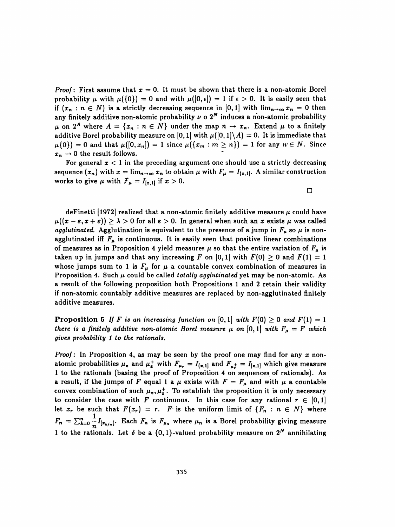*Proof*: First assume that  $x = 0$ . It must be shown that there is a non-atomic Borel probability  $\mu$  with  $\mu({0}) = 0$  and with  $\mu([0, \epsilon]) = 1$  if  $\epsilon > 0$ . It is easily seen that if  $(x_n : n \in N)$  is a strictly decreasing sequence in [0, 1] with  $\lim_{n\to\infty} x_n = 0$  then any finitely additive non-atomic probability  $\nu$  o 2<sup>N</sup> induces a non-atomic probability  $\mu$  on 2<sup>A</sup> where  $A = \{x_n : n \in N\}$  under the map  $n \to x_n$ . Extend  $\mu$  to a finitely additive Borel probability measure on  $[0, 1]$  with  $\mu([0, 1] \setminus A) = 0$ . It is immediate that  $\mu\{0\}$ ) = 0 and that  $\mu([0, x_n]) = 1$  since  $\mu(\{x_m : m \ge n\}) = 1$  for any  $n \in N$ . Since  $x_n \rightarrow 0$  the result follows.

For general  $x < 1$  in the preceding argument one should use a strictly decreasing sequence  $(x_n)$  with  $x = \lim_{n \to \infty} x_n$  to obtain  $\mu$  with  $F_{\mu} = I_{(x,1]}$ . A similar construction works to give  $\mu$  with  $\mathcal{F}_{\mu} = I_{[x,1]}$  if  $x > 0$ .

□

deFinetti [1972] realized that a non-atomic finitely additive measure  $\mu$  could have  $\mu((x - \varepsilon, x + \varepsilon)) \geq \lambda > 0$  for all  $\varepsilon > 0$ . In general when such an x exists  $\mu$  was called agglutinated. Agglutination is equivalent to the presence of a jump in  $F_{\mu}$  so  $\mu$  is nonagglutinated iff  $F_{\mu}$  is continuous. It is easily seen that positive linear combinations of measures as in Proposition 4 yield measures  $\mu$  so that the entire variation of  $F_{\mu}$  is taken up in jumps and that any increasing F on  $[0,1]$  with  $F(0) \ge 0$  and  $F(1) = 1$ whose jumps sum to 1 is  $F_{\mu}$  for  $\mu$  a countable convex combination of measures in Proposition 4. Such  $\mu$  could be called *totally agglutinated* yet may be non-atomic. As a result of the following proposition both Propositions 1 and 2 retain their validity if non-atomic countably additive measures are replaced by non-agglutinated finitely additive measures.

**Proposition 5** If F is an increasing function on  $[0,1]$  with  $F(0) \ge 0$  and  $F(1) = 1$ there is a finitely additive non-atomic Borel measure  $\mu$  on [0,1] with  $F_{\mu} = F$  which gives probability 1 to the rationals.

*Proof*: In Proposition 4, as may be seen by the proof one may find for any x nonatomic probabilities  $\mu_z$  and  $\mu_z^+$  with  $F_{\mu_z} = I_{(z,1]}$  and  $F_{\mu_z^+} = I_{[z,1]}$  which give measure 1 to the rationals (basing the proof of Proposition 4 on sequences of rationals). As a result, if the jumps of F equal 1 a  $\mu$  exists with  $F = F_{\mu}$  and with  $\mu$  a countable convex combination of such  $\mu_{z}, \mu_{z}^{+}$ . To establish the proposition it is only necessary to consider the case with F continuous. In this case for any rational  $r \in [0,1]$ let  $x_r$  be such that  $F(x_r) = r$ . F is the uniform limit of  $\{F_n : n \in N\}$  where  $F_n = \sum_{k=0}^n \frac{1}{n} I_{[z_{k/n}]^n}$ . Each  $F_n$  is  $F_{\mu_n}$  where  $\mu_n$  is a Borel probability giving measure 1 to the rationals. Let  $\delta$  be a  $\{0,1\}$ -valued probability measure on  $2^N$  annihilating